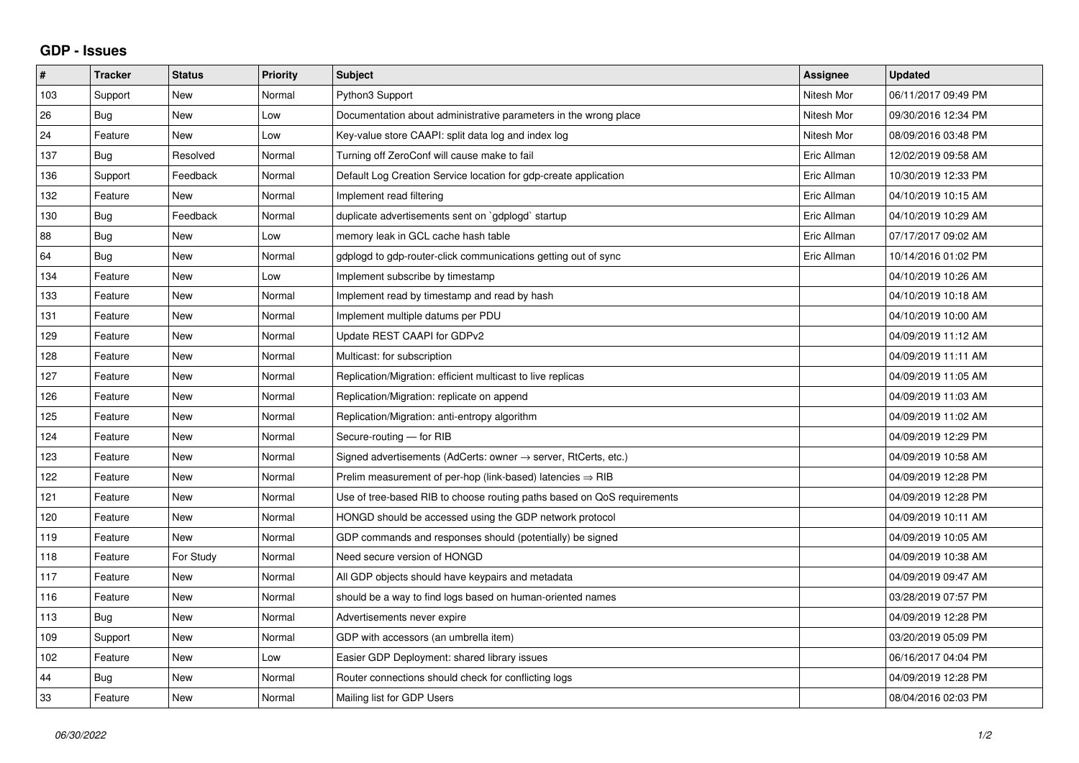## **GDP - Issues**

| #   | <b>Tracker</b> | <b>Status</b> | Priority | <b>Subject</b>                                                          | Assignee    | <b>Updated</b>      |
|-----|----------------|---------------|----------|-------------------------------------------------------------------------|-------------|---------------------|
| 103 | Support        | <b>New</b>    | Normal   | Python3 Support                                                         | Nitesh Mor  | 06/11/2017 09:49 PM |
| 26  | Bug            | <b>New</b>    | Low      | Documentation about administrative parameters in the wrong place        | Nitesh Mor  | 09/30/2016 12:34 PM |
| 24  | Feature        | New           | Low      | Key-value store CAAPI: split data log and index log                     | Nitesh Mor  | 08/09/2016 03:48 PM |
| 137 | <b>Bug</b>     | Resolved      | Normal   | Turning off ZeroConf will cause make to fail                            | Eric Allman | 12/02/2019 09:58 AM |
| 136 | Support        | Feedback      | Normal   | Default Log Creation Service location for gdp-create application        | Eric Allman | 10/30/2019 12:33 PM |
| 132 | Feature        | New           | Normal   | Implement read filtering                                                | Eric Allman | 04/10/2019 10:15 AM |
| 130 | <b>Bug</b>     | Feedback      | Normal   | duplicate advertisements sent on `gdplogd` startup                      | Eric Allman | 04/10/2019 10:29 AM |
| 88  | <b>Bug</b>     | <b>New</b>    | Low      | memory leak in GCL cache hash table                                     | Eric Allman | 07/17/2017 09:02 AM |
| 64  | Bug            | New           | Normal   | gdplogd to gdp-router-click communications getting out of sync          | Eric Allman | 10/14/2016 01:02 PM |
| 134 | Feature        | <b>New</b>    | Low      | Implement subscribe by timestamp                                        |             | 04/10/2019 10:26 AM |
| 133 | Feature        | <b>New</b>    | Normal   | Implement read by timestamp and read by hash                            |             | 04/10/2019 10:18 AM |
| 131 | Feature        | <b>New</b>    | Normal   | Implement multiple datums per PDU                                       |             | 04/10/2019 10:00 AM |
| 129 | Feature        | <b>New</b>    | Normal   | Update REST CAAPI for GDPv2                                             |             | 04/09/2019 11:12 AM |
| 128 | Feature        | <b>New</b>    | Normal   | Multicast: for subscription                                             |             | 04/09/2019 11:11 AM |
| 127 | Feature        | <b>New</b>    | Normal   | Replication/Migration: efficient multicast to live replicas             |             | 04/09/2019 11:05 AM |
| 126 | Feature        | <b>New</b>    | Normal   | Replication/Migration: replicate on append                              |             | 04/09/2019 11:03 AM |
| 125 | Feature        | <b>New</b>    | Normal   | Replication/Migration: anti-entropy algorithm                           |             | 04/09/2019 11:02 AM |
| 124 | Feature        | New           | Normal   | Secure-routing - for RIB                                                |             | 04/09/2019 12:29 PM |
| 123 | Feature        | <b>New</b>    | Normal   | Signed advertisements (AdCerts: owner → server, RtCerts, etc.)          |             | 04/09/2019 10:58 AM |
| 122 | Feature        | <b>New</b>    | Normal   | Prelim measurement of per-hop (link-based) latencies $\Rightarrow$ RIB  |             | 04/09/2019 12:28 PM |
| 121 | Feature        | New           | Normal   | Use of tree-based RIB to choose routing paths based on QoS requirements |             | 04/09/2019 12:28 PM |
| 120 | Feature        | New           | Normal   | HONGD should be accessed using the GDP network protocol                 |             | 04/09/2019 10:11 AM |
| 119 | Feature        | <b>New</b>    | Normal   | GDP commands and responses should (potentially) be signed               |             | 04/09/2019 10:05 AM |
| 118 | Feature        | For Study     | Normal   | Need secure version of HONGD                                            |             | 04/09/2019 10:38 AM |
| 117 | Feature        | New           | Normal   | All GDP objects should have keypairs and metadata                       |             | 04/09/2019 09:47 AM |
| 116 | Feature        | New           | Normal   | should be a way to find logs based on human-oriented names              |             | 03/28/2019 07:57 PM |
| 113 | Bug            | New           | Normal   | Advertisements never expire                                             |             | 04/09/2019 12:28 PM |
| 109 | Support        | <b>New</b>    | Normal   | GDP with accessors (an umbrella item)                                   |             | 03/20/2019 05:09 PM |
| 102 | Feature        | <b>New</b>    | Low      | Easier GDP Deployment: shared library issues                            |             | 06/16/2017 04:04 PM |
| 44  | Bug            | <b>New</b>    | Normal   | Router connections should check for conflicting logs                    |             | 04/09/2019 12:28 PM |
| 33  | Feature        | <b>New</b>    | Normal   | Mailing list for GDP Users                                              |             | 08/04/2016 02:03 PM |